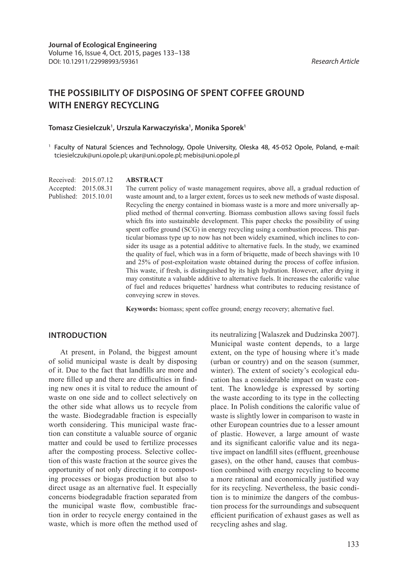# **THE POSSIBILITY OF DISPOSING OF SPENT COFFEE GROUND WITH ENERGY RECYCLING**

#### **Tomasz Ciesielczuk1 , Urszula Karwaczyńska1 , Monika Sporek1**

<sup>1</sup> Faculty of Natural Sciences and Technology, Opole University, Oleska 48, 45-052 Opole, Poland, e-mail: tciesielczuk@uni.opole.pl; ukar@uni.opole.pl; mebis@uni.opole.pl

Received: 2015.07.12 Accepted: 2015.08.31 Published: 2015.10.01

#### **ABSTRACT**

The current policy of waste management requires, above all, a gradual reduction of waste amount and, to a larger extent, forces us to seek new methods of waste disposal. Recycling the energy contained in biomass waste is a more and more universally applied method of thermal converting. Biomass combustion allows saving fossil fuels which fits into sustainable development. This paper checks the possibility of using spent coffee ground (SCG) in energy recycling using a combustion process. This particular biomass type up to now has not been widely examined, which inclines to consider its usage as a potential additive to alternative fuels. In the study, we examined the quality of fuel, which was in a form of briquette, made of beech shavings with 10 and 25% of post-exploitation waste obtained during the process of coffee infusion. This waste, if fresh, is distinguished by its high hydration. However, after drying it may constitute a valuable additive to alternative fuels. It increases the calorific value of fuel and reduces briquettes' hardness what contributes to reducing resistance of conveying screw in stoves.

**Keywords:** biomass; spent coffee ground; energy recovery; alternative fuel.

#### **INTRODUCTION**

At present, in Poland, the biggest amount of solid municipal waste is dealt by disposing of it. Due to the fact that landfills are more and more filled up and there are difficulties in finding new ones it is vital to reduce the amount of waste on one side and to collect selectively on the other side what allows us to recycle from the waste. Biodegradable fraction is especially worth considering. This municipal waste fraction can constitute a valuable source of organic matter and could be used to fertilize processes after the composting process. Selective collection of this waste fraction at the source gives the opportunity of not only directing it to composting processes or biogas production but also to direct usage as an alternative fuel. It especially concerns biodegradable fraction separated from the municipal waste flow, combustible fraction in order to recycle energy contained in the waste, which is more often the method used of its neutralizing [Walaszek and Dudzinska 2007]. Municipal waste content depends, to a large extent, on the type of housing where it's made (urban or country) and on the season (summer, winter). The extent of society's ecological education has a considerable impact on waste content. The knowledge is expressed by sorting the waste according to its type in the collecting place. In Polish conditions the calorific value of waste is slightly lower in comparison to waste in other European countries due to a lesser amount of plastic. However, a large amount of waste and its significant calorific value and its negative impact on landfill sites (effluent, greenhouse gases), on the other hand, causes that combustion combined with energy recycling to become a more rational and economically justified way for its recycling. Nevertheless, the basic condition is to minimize the dangers of the combustion process for the surroundings and subsequent efficient purification of exhaust gases as well as recycling ashes and slag.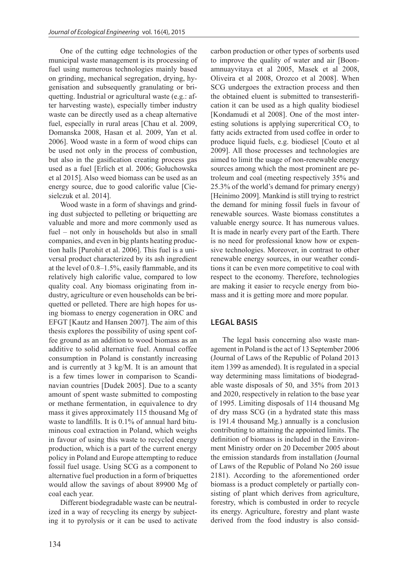One of the cutting edge technologies of the municipal waste management is its processing of fuel using numerous technologies mainly based on grinding, mechanical segregation, drying, hygenisation and subsequently granulating or briquetting. Industrial or agricultural waste (e.g.: after harvesting waste), especially timber industry waste can be directly used as a cheap alternative fuel, especially in rural areas [Chau et al. 2009, Domanska 2008, Hasan et al. 2009, Yan et al. 2006]. Wood waste in a form of wood chips can be used not only in the process of combustion, but also in the gasification creating process gas used as a fuel [Erlich et al. 2006; Gołuchowska et al 2015]. Also weed biomass can be used as an energy source, due to good calorific value [Ciesielczuk et al. 2014].

Wood waste in a form of shavings and grinding dust subjected to pelleting or briquetting are valuable and more and more commonly used as fuel – not only in households but also in small companies, and even in big plants heating production halls [Purohit et al. 2006]. This fuel is a universal product characterized by its ash ingredient at the level of 0.8–1.5%, easily flammable, and its relatively high calorific value, compared to low quality coal. Any biomass originating from industry, agriculture or even households can be briquetted or pelleted. There are high hopes for using biomass to energy cogeneration in ORC and EFGT [Kautz and Hansen 2007]. The aim of this thesis explores the possibility of using spent coffee ground as an addition to wood biomass as an additive to solid alternative fuel. Annual coffee consumption in Poland is constantly increasing and is currently at 3 kg/M. It is an amount that is a few times lower in comparison to Scandinavian countries [Dudek 2005]. Due to a scanty amount of spent waste submitted to composting or methane fermentation, in equivalence to dry mass it gives approximately 115 thousand Mg of waste to landfills. It is 0.1% of annual hard bituminous coal extraction in Poland, which weighs in favour of using this waste to recycled energy production, which is a part of the current energy policy in Poland and Europe attempting to reduce fossil fuel usage. Using SCG as a component to alternative fuel production in a form of briquettes would allow the savings of about 89900 Mg of coal each year.

Different biodegradable waste can be neutralized in a way of recycling its energy by subjecting it to pyrolysis or it can be used to activate carbon production or other types of sorbents used to improve the quality of water and air [Boonamnuayvitaya et al 2005, Masek et al 2008, Oliveira et al 2008, Orozco et al 2008]. When SCG undergoes the extraction process and then the obtained eluent is submitted to transesterification it can be used as a high quality biodiesel [Kondamudi et al 2008]. One of the most interesting solutions is applying supercritical  $CO<sub>2</sub>$  to fatty acids extracted from used coffee in order to produce liquid fuels, e.g. biodiesel [Couto et al 2009]. All those processes and technologies are aimed to limit the usage of non-renewable energy sources among which the most prominent are petroleum and coal (meeting respectively 35% and 25.3% of the world's demand for primary energy) [Heinimo 2009]. Mankind is still trying to restrict the demand for mining fossil fuels in favour of renewable sources. Waste biomass constitutes a valuable energy source. It has numerous values. It is made in nearly every part of the Earth. There is no need for professional know how or expensive technologies. Moreover, in contrast to other renewable energy sources, in our weather conditions it can be even more competitive to coal with respect to the economy. Therefore, technologies are making it easier to recycle energy from biomass and it is getting more and more popular.

#### **LEGAL BASIS**

The legal basis concerning also waste management in Poland is the act of 13 September 2006 (Journal of Laws of the Republic of Poland 2013 item 1399 as amended). It is regulated in a special way determining mass limitations of biodegradable waste disposals of 50, and 35% from 2013 and 2020, respectively in relation to the base year of 1995. Limiting disposals of 114 thousand Mg of dry mass SCG (in a hydrated state this mass is 191.4 thousand Mg.) annually is a conclusion contributing to attaining the appointed limits. The definition of biomass is included in the Environment Ministry order on 20 December 2005 about the emission standards from installation (Journal of Laws of the Republic of Poland No 260 issue 2181). According to the aforementioned order biomass is a product completely or partially consisting of plant which derives from agriculture, forestry, which is combusted in order to recycle its energy. Agriculture, forestry and plant waste derived from the food industry is also consid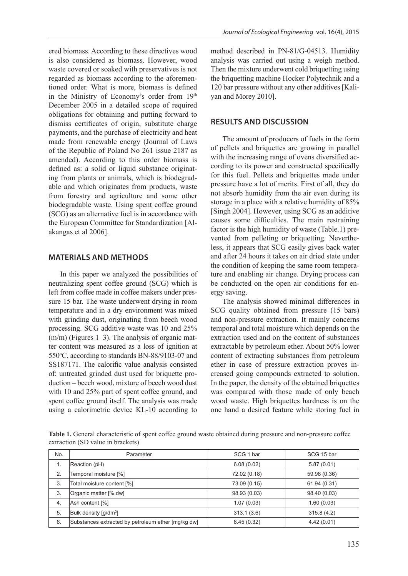ered biomass. According to these directives wood is also considered as biomass. However, wood waste covered or soaked with preservatives is not regarded as biomass according to the aforementioned order. What is more, biomass is defined in the Ministry of Economy's order from 19th December 2005 in a detailed scope of required obligations for obtaining and putting forward to dismiss certificates of origin, substitute charge payments, and the purchase of electricity and heat made from renewable energy (Journal of Laws of the Republic of Poland No 261 issue 2187 as amended). According to this order biomass is defined as: a solid or liquid substance originating from plants or animals, which is biodegradable and which originates from products, waste from forestry and agriculture and some other biodegradable waste. Using spent coffee ground (SCG) as an alternative fuel is in accordance with the European Committee for Standardization [Alakangas et al 2006].

#### **MATERIALS AND METHODS**

In this paper we analyzed the possibilities of neutralizing spent coffee ground (SCG) which is left from coffee made in coffee makers under pressure 15 bar. The waste underwent drying in room temperature and in a dry environment was mixed with grinding dust, originating from beech wood processing. SCG additive waste was 10 and 25% (m/m) (Figures 1–3). The analysis of organic matter content was measured as a loss of ignition at 550°C, according to standards BN-88/9103-07 and SS187171. The calorific value analysis consisted of: untreated grinded dust used for briquette production – beech wood, mixture of beech wood dust with 10 and 25% part of spent coffee ground, and spent coffee ground itself. The analysis was made using a calorimetric device KL-10 according to

method described in PN-81/G-04513. Humidity analysis was carried out using a weigh method. Then the mixture underwent cold briquetting using the briquetting machine Hocker Polytechnik and a 120 bar pressure without any other additives [Kaliyan and Morey 2010].

#### **RESULTS AND DISCUSSION**

The amount of producers of fuels in the form of pellets and briquettes are growing in parallel with the increasing range of ovens diversified according to its power and constructed specifically for this fuel. Pellets and briquettes made under pressure have a lot of merits. First of all, they do not absorb humidity from the air even during its storage in a place with a relative humidity of 85% [Singh 2004]. However, using SCG as an additive causes some difficulties. The main restraining factor is the high humidity of waste (Table.1) prevented from pelleting or briquetting. Nevertheless, it appears that SCG easily gives back water and after 24 hours it takes on air dried state under the condition of keeping the same room temperature and enabling air change. Drying process can be conducted on the open air conditions for energy saving.

The analysis showed minimal differences in SCG quality obtained from pressure (15 bars) and non-pressure extraction. It mainly concerns temporal and total moisture which depends on the extraction used and on the content of substances extractable by petroleum ether. About 50% lower content of extracting substances from petroleum ether in case of pressure extraction proves increased going compounds extracted to solution. In the paper, the density of the obtained briquettes was compared with those made of only beach wood waste. High briquettes hardness is on the one hand a desired feature while storing fuel in

**Table 1.** General characteristic of spent coffee ground waste obtained during pressure and non-pressure coffee extraction (SD value in brackets)

| No. | Parameter                                          | SCG 1 bar    | SCG 15 bar   |
|-----|----------------------------------------------------|--------------|--------------|
| 1.  | Reaction (pH)                                      | 6.08(0.02)   | 5.87(0.01)   |
| 2.  | Temporal moisture [%]                              | 72.02 (0.18) | 59.98 (0.36) |
| 3.  | Total moisture content [%]                         | 73.09 (0.15) | 61.94 (0.31) |
| 3.  | Organic matter [% dw]                              | 98.93 (0.03) | 98.40 (0.03) |
| 4.  | Ash content [%]                                    | 1.07(0.03)   | 1.60(0.03)   |
| 5.  | Bulk density [g/dm <sup>3</sup> ]                  | 313.1(3.6)   | 315.8(4.2)   |
| 6.  | Substances extracted by petroleum ether [mg/kg dw] | 8.45(0.32)   | 4.42(0.01)   |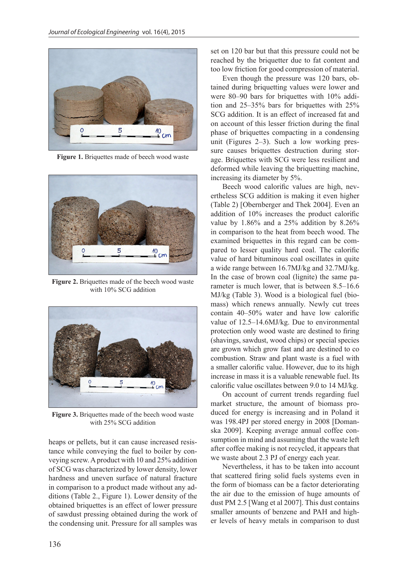

**Figure 1.** Briquettes made of beech wood waste



**Figure 2.** Briquettes made of the beech wood waste with 10% SCG addition



Figure 3. Briquettes made of the beech wood waste with 25% SCG addition

heaps or pellets, but it can cause increased resistance while conveying the fuel to boiler by conveying screw. A product with 10 and 25% addition of SCG was characterized by lower density, lower hardness and uneven surface of natural fracture in comparison to a product made without any additions (Table 2., Figure 1). Lower density of the obtained briquettes is an effect of lower pressure of sawdust pressing obtained during the work of the condensing unit. Pressure for all samples was

set on 120 bar but that this pressure could not be reached by the briquetter due to fat content and too low friction for good compression of material.

Even though the pressure was 120 bars, obtained during briquetting values were lower and were 80–90 bars for briquettes with 10% addition and 25–35% bars for briquettes with 25% SCG addition. It is an effect of increased fat and on account of this lesser friction during the final phase of briquettes compacting in a condensing unit (Figures 2–3). Such a low working pressure causes briquettes destruction during storage. Briquettes with SCG were less resilient and deformed while leaving the briquetting machine, increasing its diameter by 5%.

Beech wood calorific values are high, nevertheless SCG addition is making it even higher (Table 2) [Obernberger and Thek 2004]. Even an addition of 10% increases the product calorific value by 1.86% and a 25% addition by 8.26% in comparison to the heat from beech wood. The examined briquettes in this regard can be compared to lesser quality hard coal. The calorific value of hard bituminous coal oscillates in quite a wide range between 16.7MJ/kg and 32.7MJ/kg. In the case of brown coal (lignite) the same parameter is much lower, that is between 8.5–16.6 MJ/kg (Table 3). Wood is a biological fuel (biomass) which renews annually. Newly cut trees contain 40–50% water and have low calorific value of 12.5–14.6MJ/kg. Due to environmental protection only wood waste are destined to firing (shavings, sawdust, wood chips) or special species are grown which grow fast and are destined to co combustion. Straw and plant waste is a fuel with a smaller calorific value. However, due to its high increase in mass it is a valuable renewable fuel. Its calorific value oscillates between 9.0 to 14 MJ/kg.

On account of current trends regarding fuel market structure, the amount of biomass produced for energy is increasing and in Poland it was 198.4PJ per stored energy in 2008 [Domanska 2009]. Keeping average annual coffee consumption in mind and assuming that the waste left after coffee making is not recycled, it appears that we waste about 2.3 PJ of energy each year.

Nevertheless, it has to be taken into account that scattered firing solid fuels systems even in the form of biomass can be a factor deteriorating the air due to the emission of huge amounts of dust PM 2.5 [Wang et al 2007]. This dust contains smaller amounts of benzene and PAH and higher levels of heavy metals in comparison to dust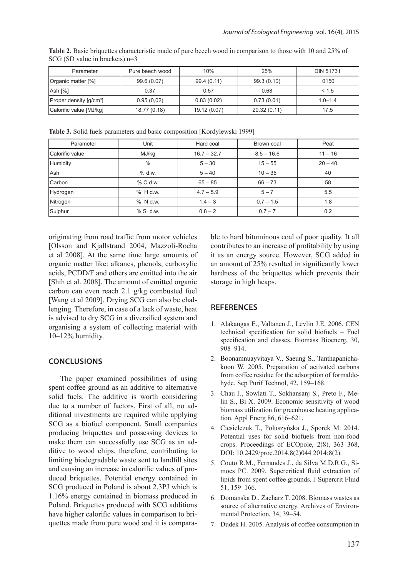| Parameter                           | Pure beech wood | 10%          | 25%          | <b>DIN 51731</b> |
|-------------------------------------|-----------------|--------------|--------------|------------------|
| Organic matter [%]                  | 99.6 (0.07)     | 99.4 (0.11)  | 99.3 (0.10)  | 0150             |
| Ash [%]                             | 0.37            | 0.57         | 0.68         | < 1.5            |
| Proper density [g/cm <sup>3</sup> ] | 0.95(0.02)      | 0.83(0.02)   | 0.73(0.01)   | $1.0 - 1.4$      |
| Calorific value [MJ/kg]             | 18.77 (0.18)    | 19.12 (0.07) | 20.32 (0.11) | 17.5             |

**Table 2.** Basic briquettes characteristic made of pure beech wood in comparison to those with 10 and 25% of SCG (SD value in brackets) n=3

**Table 3.** Solid fuels parameters and basic composition [Kordylewski 1999]

| Parameter       | Unit       | Hard coal     | Brown coal   | Peat      |
|-----------------|------------|---------------|--------------|-----------|
| Calorific value | MJ/kg      | $16.7 - 32.7$ | $8.5 - 16.6$ | $11 - 16$ |
| Humidity        | $\%$       | $5 - 30$      | $15 - 55$    | $20 - 40$ |
| Ash             | % d.w.     | $5 - 40$      | $10 - 35$    | 40        |
| Carbon          | % C d.w.   | $65 - 85$     | $66 - 73$    | 58        |
| Hydrogen        | $%$ H d.w. | $4.7 - 5.9$   | $5 - 7$      | 5.5       |
| Nitrogen        | % N d.w.   | $1.4 - 3$     | $0.7 - 1.5$  | 1.8       |
| Sulphur         | $%S$ d.w.  | $0.8 - 2$     | $0.7 - 7$    | 0.2       |

originating from road traffic from motor vehicles [Olsson and Kjallstrand 2004, Mazzoli-Rocha et al 2008]. At the same time large amounts of organic matter like: alkanes, phenols, carboxylic acids, PCDD/F and others are emitted into the air [Shih et al. 2008]. The amount of emitted organic carbon can even reach 2.1 g/kg combusted fuel [Wang et al 2009]. Drying SCG can also be challenging. Therefore, in case of a lack of waste, heat is advised to dry SCG in a diversified system and organising a system of collecting material with 10–12% humidity.

## **CONCLUSIONS**

The paper examined possibilities of using spent coffee ground as an additive to alternative solid fuels. The additive is worth considering due to a number of factors. First of all, no additional investments are required while applying SCG as a biofuel component. Small companies producing briquettes and possessing devices to make them can successfully use SCG as an additive to wood chips, therefore, contributing to limiting biodegradable waste sent to landfill sites and causing an increase in calorific values of produced briquettes. Potential energy contained in SCG produced in Poland is about 2.3PJ which is 1.16% energy contained in biomass produced in Poland. Briquettes produced with SCG additions have higher calorific values in comparison to briquettes made from pure wood and it is comparable to hard bituminous coal of poor quality. It all contributes to an increase of profitability by using it as an energy source. However, SCG added in an amount of 25% resulted in significantly lower hardness of the briquettes which prevents their storage in high heaps.

## **REFERENCES**

- 1. Alakangas E., Valtanen J., Levlin J.E. 2006. CEN technical specification for solid biofuels – Fuel specification and classes. Biomass Bioenerg, 30, 908–914.
- 2. Boonamnuayvitaya V., Saeung S., Tanthapanichakoon W. 2005. Preparation of activated carbons from coffee residue for the adsorption of formaldehyde. Sep Purif Technol, 42, 159–168.
- 3. Chau J., Sowlati T., Sokhansanj S., Preto F., Melin S., Bi X. 2009. Economic sensitivity of wood biomass utilization for greenhouse heating application. Appl Energ 86, 616–621.
- 4. Ciesielczuk T., Poluszyńska J., Sporek M. 2014. Potential uses for solid biofuels from non-food crops. Proceedings of ECOpole, 2(8), 363–368, DOI: 10.2429/proc.2014.8(2)044 2014;8(2).
- 5. Couto R.M., Fernandes J., da Silva M.D.R.G., Simoes PC. 2009. Supercritical fluid extraction of lipids from spent coffee grounds. J Supercrit Fluid 51, 159–166.
- 6. Domanska D., Zacharz T. 2008. Biomass wastes as source of alternative energy. Archives of Environmental Protection, 34, 39–54.
- 7. Dudek H. 2005. Analysis of coffee consumption in